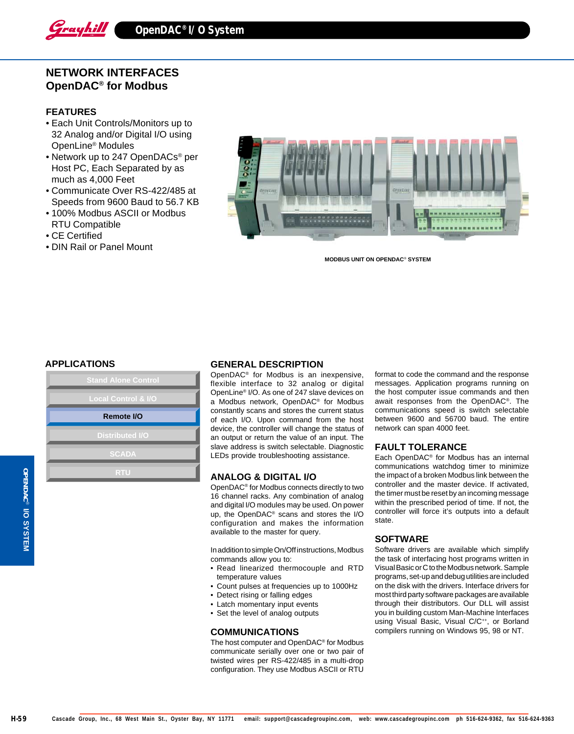

# **NETWORK INTERFACES OpenDAC® for Modbus**

## **FEATURES**

- Each Unit Controls/Monitors up to 32 Analog and/or Digital I/O using OpenLine® Modules
- Network up to 247 OpenDACs® per Host PC, Each Separated by as much as 4,000 Feet
- Communicate Over RS-422/485 at Speeds from 9600 Baud to 56.7 KB
- 100% Modbus ASCII or Modbus RTU Compatible
- CE Certified
- DIN Rail or Panel Mount



**MODBUS UNIT ON OPENDAC**® **SYSTEM**



### **APPLICATIONS GENERAL DESCRIPTION**

OpenDAC® for Modbus is an inexpensive, flexible interface to 32 analog or digital OpenLine® I/O. As one of 247 slave devices on a Modbus network, OpenDAC® for Modbus constantly scans and stores the current status of each I/O. Upon command from the host device, the controller will change the status of an output or return the value of an input. The slave address is switch selectable. Diagnostic LEDs provide troubleshooting assistance.

#### **ANALOG & DIGITAL I/O**

OpenDAC® for Modbus connects directly to two 16 channel racks. Any combination of analog and digital I/O modules may be used. On power up, the OpenDAC® scans and stores the I/O configuration and makes the information available to the master for query.

In addition to simple On/Off instructions, Modbus commands allow you to:

- Read linearized thermocouple and RTD temperature values
- Count pulses at frequencies up to 1000Hz
- Detect rising or falling edges
- Latch momentary input events
- Set the level of analog outputs

#### **COMMUNICATIONS**

The host computer and OpenDAC® for Modbus communicate serially over one or two pair of twisted wires per RS-422/485 in a multi-drop configuration. They use Modbus ASCII or RTU

format to code the command and the response messages. Application programs running on the host computer issue commands and then await responses from the OpenDAC®. The communications speed is switch selectable between 9600 and 56700 baud. The entire network can span 4000 feet.

#### **FAULT TOLERANCE**

Each OpenDAC® for Modbus has an internal communications watchdog timer to minimize the impact of a broken Modbus link between the controller and the master device. If activated, the timer must be reset by an incoming message within the prescribed period of time. If not, the controller will force it's outputs into a default state.

#### **SOFTWARE**

Software drivers are available which simplify the task of interfacing host programs written in Visual Basic or C to the Modbus network. Sample programs, set-up and debug utilities are included on the disk with the drivers. Interface drivers for most third party software packages are available through their distributors. Our DLL will assist you in building custom Man-Machine Interfaces using Visual Basic, Visual C/C<sup>++</sup>, or Borland compilers running on Windows 95, 98 or NT.